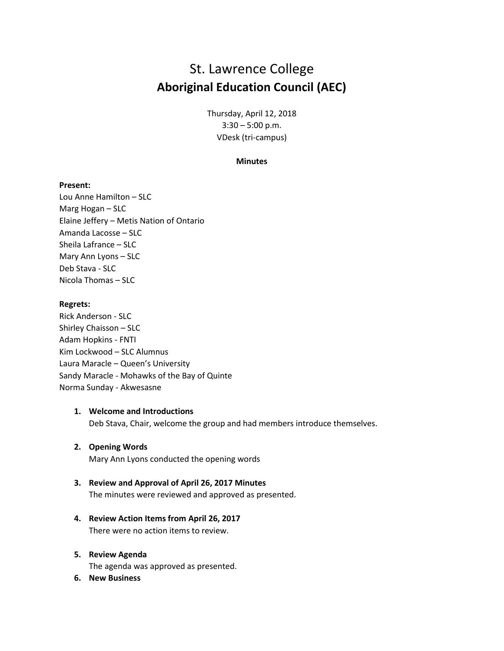# St. Lawrence College **Aboriginal Education Council (AEC)**

Thursday, April 12, 2018 3:30 – 5:00 p.m. VDesk (tri-campus)

#### **Minutes**

### **Present:**

Lou Anne Hamilton – SLC Marg Hogan – SLC Elaine Jeffery – Metis Nation of Ontario Amanda Lacosse – SLC Sheila Lafrance – SLC Mary Ann Lyons – SLC Deb Stava - SLC Nicola Thomas – SLC

#### **Regrets:**

Rick Anderson - SLC Shirley Chaisson – SLC Adam Hopkins - FNTI Kim Lockwood – SLC Alumnus Laura Maracle – Queen's University Sandy Maracle - Mohawks of the Bay of Quinte Norma Sunday - Akwesasne

### **1. Welcome and Introductions**

Deb Stava, Chair, welcome the group and had members introduce themselves.

#### **2. Opening Words**

Mary Ann Lyons conducted the opening words

# **3. Review and Approval of April 26, 2017 Minutes**

The minutes were reviewed and approved as presented.

**4. Review Action Items from April 26, 2017** There were no action items to review.

#### **5. Review Agenda**

The agenda was approved as presented.

**6. New Business**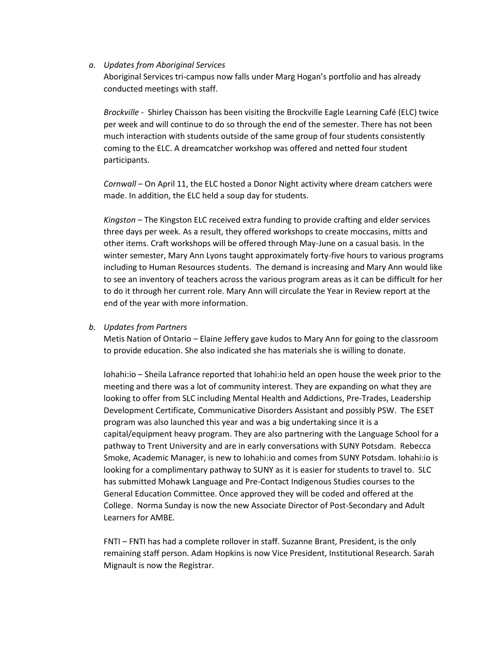#### *a. Updates from Aboriginal Services*

Aboriginal Services tri-campus now falls under Marg Hogan's portfolio and has already conducted meetings with staff.

*Brockville* - Shirley Chaisson has been visiting the Brockville Eagle Learning Café (ELC) twice per week and will continue to do so through the end of the semester. There has not been much interaction with students outside of the same group of four students consistently coming to the ELC. A dreamcatcher workshop was offered and netted four student participants.

*Cornwall* – On April 11, the ELC hosted a Donor Night activity where dream catchers were made. In addition, the ELC held a soup day for students.

*Kingston* – The Kingston ELC received extra funding to provide crafting and elder services three days per week. As a result, they offered workshops to create moccasins, mitts and other items. Craft workshops will be offered through May-June on a casual basis. In the winter semester, Mary Ann Lyons taught approximately forty-five hours to various programs including to Human Resources students. The demand is increasing and Mary Ann would like to see an inventory of teachers across the various program areas as it can be difficult for her to do it through her current role. Mary Ann will circulate the Year in Review report at the end of the year with more information.

# *b. Updates from Partners*

Metis Nation of Ontario – Elaine Jeffery gave kudos to Mary Ann for going to the classroom to provide education. She also indicated she has materials she is willing to donate.

Iohahi:io – Sheila Lafrance reported that Iohahi:io held an open house the week prior to the meeting and there was a lot of community interest. They are expanding on what they are looking to offer from SLC including Mental Health and Addictions, Pre-Trades, Leadership Development Certificate, Communicative Disorders Assistant and possibly PSW. The ESET program was also launched this year and was a big undertaking since it is a capital/equipment heavy program. They are also partnering with the Language School for a pathway to Trent University and are in early conversations with SUNY Potsdam. Rebecca Smoke, Academic Manager, is new to Iohahi:io and comes from SUNY Potsdam. Iohahi:io is looking for a complimentary pathway to SUNY as it is easier for students to travel to. SLC has submitted Mohawk Language and Pre-Contact Indigenous Studies courses to the General Education Committee. Once approved they will be coded and offered at the College. Norma Sunday is now the new Associate Director of Post-Secondary and Adult Learners for AMBE.

FNTI – FNTI has had a complete rollover in staff. Suzanne Brant, President, is the only remaining staff person. Adam Hopkins is now Vice President, Institutional Research. Sarah Mignault is now the Registrar.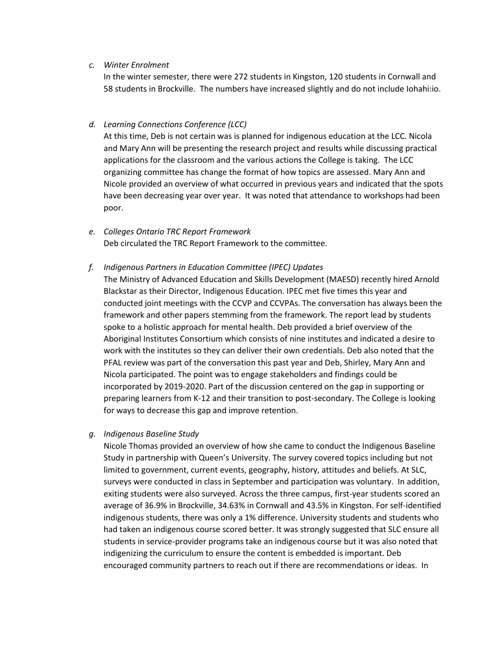### *c. Winter Enrolment*

In the winter semester, there were 272 students in Kingston, 120 students in Cornwall and 58 students in Brockville. The numbers have increased slightly and do not include Iohahi:io.

### *d. Learning Connections Conference (LCC)*

At this time, Deb is not certain was is planned for indigenous education at the LCC. Nicola and Mary Ann will be presenting the research project and results while discussing practical applications for the classroom and the various actions the College is taking. The LCC organizing committee has change the format of how topics are assessed. Mary Ann and Nicole provided an overview of what occurred in previous years and indicated that the spots have been decreasing year over year. It was noted that attendance to workshops had been poor.

# *e. Colleges Ontario TRC Report Framework* Deb circulated the TRC Report Framework to the committee.

# *f. Indigenous Partners in Education Committee (IPEC) Updates*

The Ministry of Advanced Education and Skills Development (MAESD) recently hired Arnold Blackstar as their Director, Indigenous Education. IPEC met five times this year and conducted joint meetings with the CCVP and CCVPAs. The conversation has always been the framework and other papers stemming from the framework. The report lead by students spoke to a holistic approach for mental health. Deb provided a brief overview of the Aboriginal Institutes Consortium which consists of nine institutes and indicated a desire to work with the institutes so they can deliver their own credentials. Deb also noted that the PFAL review was part of the conversation this past year and Deb, Shirley, Mary Ann and Nicola participated. The point was to engage stakeholders and findings could be incorporated by 2019-2020. Part of the discussion centered on the gap in supporting or preparing learners from K-12 and their transition to post-secondary. The College is looking for ways to decrease this gap and improve retention.

# *g. Indigenous Baseline Study*

Nicole Thomas provided an overview of how she came to conduct the Indigenous Baseline Study in partnership with Queen's University. The survey covered topics including but not limited to government, current events, geography, history, attitudes and beliefs. At SLC, surveys were conducted in class in September and participation was voluntary. In addition, exiting students were also surveyed. Across the three campus, first-year students scored an average of 36.9% in Brockville, 34.63% in Cornwall and 43.5% in Kingston. For self-identified indigenous students, there was only a 1% difference. University students and students who had taken an indigenous course scored better. It was strongly suggested that SLC ensure all students in service-provider programs take an indigenous course but it was also noted that indigenizing the curriculum to ensure the content is embedded is important. Deb encouraged community partners to reach out if there are recommendations or ideas. In